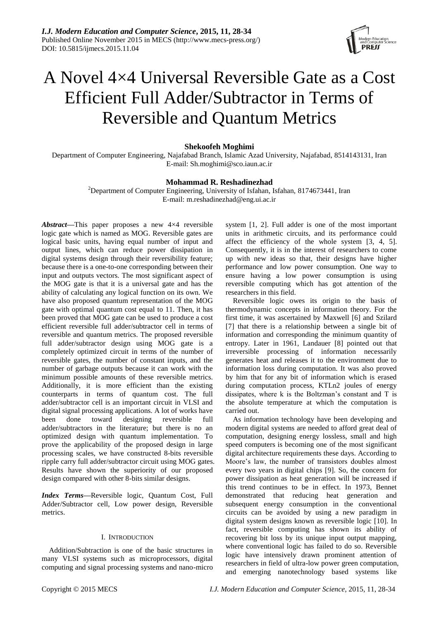

# A Novel 4×4 Universal Reversible Gate as a Cost Efficient Full Adder/Subtractor in Terms of Reversible and Quantum Metrics

## **Shekoofeh Moghimi**

Department of Computer Engineering, Najafabad Branch, Islamic Azad University, Najafabad, 8514143131, Iran E-mail: Sh.moghimi@sco.iaun.ac.ir

## **Mohammad R. Reshadinezhad**

<sup>2</sup>Department of Computer Engineering, University of Isfahan, Isfahan, 8174673441, Iran E-mail: [m.reshadinezhad@eng.ui.ac.ir](mailto:m.reshadinezhad@eng.ui.ac.ir)

*Abstract***—**This paper proposes a new 4×4 reversible logic gate which is named as MOG. Reversible gates are logical basic units, having equal number of input and output lines, which can reduce power dissipation in digital systems design through their reversibility feature; because there is a one-to-one corresponding between their input and outputs vectors. The most significant aspect of the MOG gate is that it is a universal gate and has the ability of calculating any logical function on its own. We have also proposed quantum representation of the MOG gate with optimal quantum cost equal to 11. Then, it has been proved that MOG gate can be used to produce a cost efficient reversible full adder/subtractor cell in terms of reversible and quantum metrics. The proposed reversible full adder/subtractor design using MOG gate is a completely optimized circuit in terms of the number of reversible gates, the number of constant inputs, and the number of garbage outputs because it can work with the minimum possible amounts of these reversible metrics. Additionally, it is more efficient than the existing counterparts in terms of quantum cost. The full adder/subtractor cell is an important circuit in VLSI and digital signal processing applications. A lot of works have been done toward designing reversible full adder/subtractors in the literature; but there is no an optimized design with quantum implementation. To prove the applicability of the proposed design in large processing scales, we have constructed 8-bits reversible ripple carry full adder/subtractor circuit using MOG gates. Results have shown the superiority of our proposed design compared with other 8-bits similar designs.

*Index Terms***—**Reversible logic, Quantum Cost, Full Adder/Subtractor cell, Low power design, Reversible metrics.

# I. INTRODUCTION

Addition/Subtraction is one of the basic structures in many VLSI systems such as microprocessors, digital computing and signal processing systems and nano-micro

system [1, 2]. Full adder is one of the most important units in arithmetic circuits, and its performance could affect the efficiency of the whole system [3, 4, 5]. Consequently, it is in the interest of researchers to come up with new ideas so that, their designs have higher performance and low power consumption. One way to ensure having a low power consumption is using reversible computing which has got attention of the researchers in this field.

Reversible logic owes its origin to the basis of thermodynamic concepts in information theory. For the first time, it was ascertained by Maxwell [6] and Szilard [7] that there is a relationship between a single bit of information and corresponding the minimum quantity of entropy. Later in 1961, Landauer [8] pointed out that irreversible processing of information necessarily generates heat and releases it to the environment due to information loss during computation. It was also proved by him that for any bit of information which is erased during computation process, KTLn2 joules of energy dissipates, where k is the Boltzman's constant and T is the absolute temperature at which the computation is carried out.

As information technology have been developing and modern digital systems are needed to afford great deal of computation, designing energy lossless, small and high speed computers is becoming one of the most significant digital architecture requirements these days. According to Moore's law, the number of transistors doubles almost every two years in digital chips [9]. So, the concern for power dissipation as heat generation will be increased if this trend continues to be in effect. In 1973, Bennet demonstrated that reducing heat generation and subsequent energy consumption in the conventional circuits can be avoided by using a new paradigm in digital system designs known as reversible logic [10]. In fact, reversible computing has shown its ability of recovering bit loss by its unique input output mapping, where conventional logic has failed to do so. Reversible logic have intensively drawn prominent attention of researchers in field of ultra-low power green computation, and emerging nanotechnology based systems like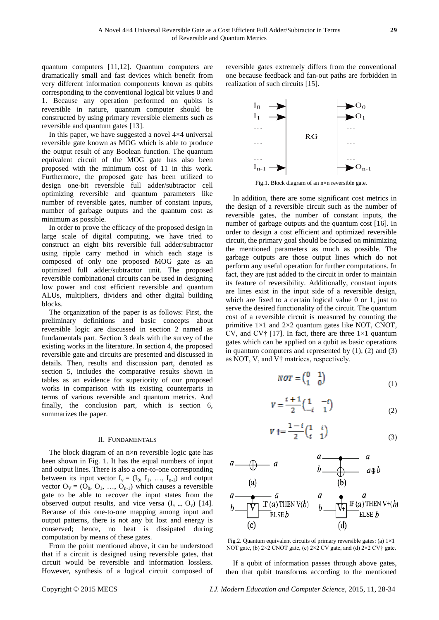quantum computers [11,12]. Quantum computers are dramatically small and fast devices which benefit from very different information components known as qubits corresponding to the conventional logical bit values 0 and 1. Because any operation performed on qubits is reversible in nature, quantum computer should be constructed by using primary reversible elements such as reversible and quantum gates [13].

In this paper, we have suggested a novel  $4 \times 4$  universal reversible gate known as MOG which is able to produce the output result of any Boolean function. The quantum equivalent circuit of the MOG gate has also been proposed with the minimum cost of 11 in this work. Furthermore, the proposed gate has been utilized to design one-bit reversible full adder/subtractor cell optimizing reversible and quantum parameters like number of reversible gates, number of constant inputs, number of garbage outputs and the quantum cost as minimum as possible.

In order to prove the efficacy of the proposed design in large scale of digital computing, we have tried to construct an eight bits reversible full adder/subtractor using ripple carry method in which each stage is composed of only one proposed MOG gate as an optimized full adder/subtractor unit. The proposed reversible combinational circuits can be used in designing low power and cost efficient reversible and quantum ALUs, multipliers, dividers and other digital building blocks.

The organization of the paper is as follows: First, the preliminary definitions and basic concepts about reversible logic are discussed in section 2 named as fundamentals part. Section 3 deals with the survey of the existing works in the literature. In section 4, the proposed reversible gate and circuits are presented and discussed in details. Then, results and discussion part, denoted as section 5, includes the comparative results shown in tables as an evidence for superiority of our proposed works in comparison with its existing counterparts in terms of various reversible and quantum metrics. And finally, the conclusion part, which is section 6, summarizes the paper.

#### II. FUNDAMENTALS

The block diagram of an  $n \times n$  reversible logic gate has been shown in Fig. 1. It has the equal numbers of input and output lines. There is also a one-to-one corresponding between its input vector  $I_v = (I_0, I_1, ..., I_{n-1})$  and output vector  $O_V = (O_0, O_1, ..., O_{n-1})$  which causes a reversible gate to be able to recover the input states from the observed output results, and vice versa  $(I_v \leftrightarrow O_v)$  [14]. Because of this one-to-one mapping among input and output patterns, there is not any bit lost and energy is conserved; hence, no heat is dissipated during computation by means of these gates.

From the point mentioned above, it can be understood that if a circuit is designed using reversible gates, that circuit would be reversible and information lossless. However, synthesis of a logical circuit composed of reversible gates extremely differs from the conventional one because feedback and fan-out paths are forbidden in realization of such circuits [15].



Fig.1. Block diagram of an n×n reversible gate.

In addition, there are some significant cost metrics in the design of a reversible circuit such as the number of reversible gates, the number of constant inputs, the number of garbage outputs and the quantum cost [16]. In order to design a cost efficient and optimized reversible circuit, the primary goal should be focused on minimizing the mentioned parameters as much as possible. The garbage outputs are those output lines which do not perform any useful operation for further computations. In fact, they are just added to the circuit in order to maintain its feature of reversibility. Additionally, constant inputs are lines exist in the input side of a reversible design, which are fixed to a certain logical value 0 or 1, just to serve the desired functionality of the circuit. The quantum cost of a reversible circuit is measured by counting the primitive  $1 \times 1$  and  $2 \times 2$  quantum gates like NOT, CNOT, CV, and CV $\dagger$  [17]. In fact, there are three 1×1 quantum gates which can be applied on a qubit as basic operations in quantum computers and represented by  $(1)$ ,  $(2)$  and  $(3)$ as NOT, V, and V† matrices, respectively.

$$
NOT = \begin{pmatrix} 0 & 1 \\ 1 & 0 \end{pmatrix} \tag{1}
$$

$$
V = \frac{i+1}{2} \begin{pmatrix} 1 & -i \\ -i & 1 \end{pmatrix}
$$
 (2)

$$
V \dagger = \frac{1 - i}{2} \begin{pmatrix} 1 & i \\ i & 1 \end{pmatrix}
$$
 (3)



Fig.2. Quantum equivalent circuits of primary reversible gates: (a) 1×1 NOT gate, (b) 2×2 CNOT gate, (c) 2×2 CV gate, and (d) 2×2 CV† gate.

If a qubit of information passes through above gates, then that qubit transforms according to the mentioned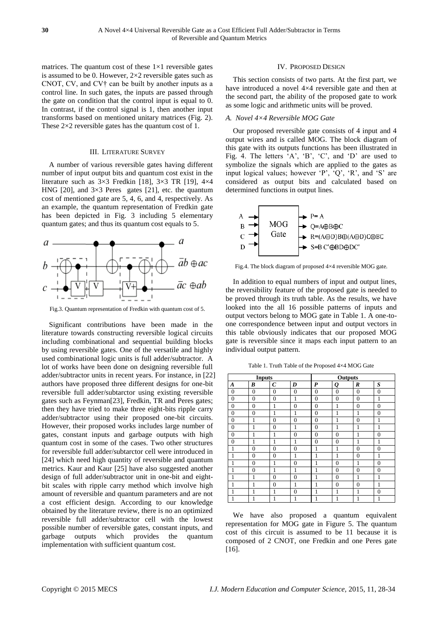matrices. The quantum cost of these  $1 \times 1$  reversible gates is assumed to be 0. However,  $2 \times 2$  reversible gates such as CNOT, CV, and CV† can be built by another inputs as a control line. In such gates, the inputs are passed through the gate on condition that the control input is equal to 0. In contrast, if the control signal is 1, then another input transforms based on mentioned unitary matrices (Fig. 2). These  $2 \times 2$  reversible gates has the quantum cost of 1.

#### III. LITERATURE SURVEY

A number of various reversible gates having different number of input output bits and quantum cost exist in the literature such as  $3 \times 3$  Fredkin [18],  $3 \times 3$  TR [19],  $4 \times 4$ HNG [20], and  $3 \times 3$  Peres gates [21], etc. the quantum cost of mentioned gate are 5, 4, 6, and 4, respectively. As an example, the quantum representation of Fredkin gate has been depicted in Fig. 3 including 5 elementary quantum gates; and thus its quantum cost equals to 5.



Fig.3. Quantum representation of Fredkin with quantum cost of 5.

Significant contributions have been made in the literature towards constructing reversible logical circuits including combinational and sequential building blocks by using reversible gates. One of the versatile and highly used combinational logic units is full adder/subtractor. A lot of works have been done on designing reversible full adder/subtractor units in recent years. For instance, in [22] authors have proposed three different designs for one-bit reversible full adder/subtarctor using existing reversible gates such as Feynman[23], Fredkin, TR and Peres gates; then they have tried to make three eight-bits ripple carry adder/subtractor using their proposed one-bit circuits. However, their proposed works includes large number of gates, constant inputs and garbage outputs with high quantum cost in some of the cases. Two other structures for reversible full adder/subtarctor cell were introduced in [24] which need high quantity of reversible and quantum metrics. Kaur and Kaur [25] have also suggested another design of full adder/subtractor unit in one-bit and eightbit scales with ripple carry method which involve high amount of reversible and quantum parameters and are not a cost efficient design. According to our knowledge obtained by the literature review, there is no an optimized reversible full adder/subtractor cell with the lowest possible number of reversible gates, constant inputs, and garbage outputs which provides the quantum implementation with sufficient quantum cost.

#### IV. PROPOSED DESIGN

This section consists of two parts. At the first part, we have introduced a novel 4×4 reversible gate and then at the second part, the ability of the proposed gate to work as some logic and arithmetic units will be proved.

#### *A. Novel 4×4 Reversible MOG Gate*

Our proposed reversible gate consists of 4 input and 4 output wires and is called MOG. The block diagram of this gate with its outputs functions has been illustrated in Fig. 4. The letters  $(A', B', C', and D')$  are used to symbolize the signals which are applied to the gates as input logical values; however 'P', 'Q', 'R', and 'S' are considered as output bits and calculated based on determined functions in output lines.



Fig.4. The block diagram of proposed 4×4 reversible MOG gate.

In addition to equal numbers of input and output lines, the reversibility feature of the proposed gate is needed to be proved through its truth table. As the results, we have looked into the all 16 possible patterns of inputs and output vectors belong to MOG gate in Table 1. A one-toone correspondence between input and output vectors in this table obviously indicates that our proposed MOG gate is reversible since it maps each input pattern to an individual output pattern.

Table 1. Truth Table of the Proposed  $4\times4$  MOG Gate

| <b>Inputs</b>  |                |                       | Outputs        |                |                |                  |                  |
|----------------|----------------|-----------------------|----------------|----------------|----------------|------------------|------------------|
| A              | B              | $\mathcal{C}_{0}^{0}$ | D              | P              | Q              | $\boldsymbol{R}$ | $\boldsymbol{S}$ |
| $\overline{0}$ | $\overline{0}$ | $\overline{0}$        | $\overline{0}$ | $\overline{0}$ | $\overline{0}$ | $\overline{0}$   | $\overline{0}$   |
| $\overline{0}$ | $\overline{0}$ | $\overline{0}$        | 1              | $\overline{0}$ | $\overline{0}$ | $\overline{0}$   | 1                |
| $\overline{0}$ | $\overline{0}$ | 1                     | $\overline{0}$ | $\overline{0}$ | 1              | $\overline{0}$   | $\overline{0}$   |
| $\overline{0}$ | $\overline{0}$ | 1                     | 1              | $\overline{0}$ | 1              | 1                | $\theta$         |
| $\theta$       | 1              | $\theta$              | $\theta$       | $\theta$       | 1              | $\overline{0}$   | 1                |
| $\overline{0}$ | 1              | $\overline{0}$        | 1              | $\overline{0}$ | 1              | 1                | 1                |
| $\overline{0}$ | 1              | 1                     | $\overline{0}$ | $\overline{0}$ | $\overline{0}$ | 1                | $\overline{0}$   |
| $\overline{0}$ | 1              | 1                     | 1              | $\overline{0}$ | $\theta$       | 1                | $\mathbf{1}$     |
| 1              | $\overline{0}$ | $\overline{0}$        | $\overline{0}$ | $\mathbf{1}$   | 1              | $\overline{0}$   | $\overline{0}$   |
| 1              | $\theta$       | $\theta$              | 1              | 1              | 1              | $\overline{0}$   | $\mathbf{1}$     |
| 1              | $\theta$       | 1                     | $\overline{0}$ | $\mathbf{1}$   | $\theta$       | 1                | $\overline{0}$   |
| 1              | $\overline{0}$ | 1                     | 1              | 1              | $\overline{0}$ | $\overline{0}$   | $\overline{0}$   |
| 1              | 1              | $\overline{0}$        | $\overline{0}$ | 1              | $\overline{0}$ | 1                | 1                |
| 1              | 1              | $\overline{0}$        | 1              | $\mathbf{1}$   | $\theta$       | $\overline{0}$   | 1                |
| 1              | 1              | 1                     | $\overline{0}$ | 1              | 1              | 1                | $\overline{0}$   |
| 1              | 1              | 1                     | 1              | 1              | 1              | 1                | 1                |

We have also proposed a quantum equivalent representation for MOG gate in Figure 5. The quantum cost of this circuit is assumed to be 11 because it is composed of 2 CNOT, one Fredkin and one Peres gate [16].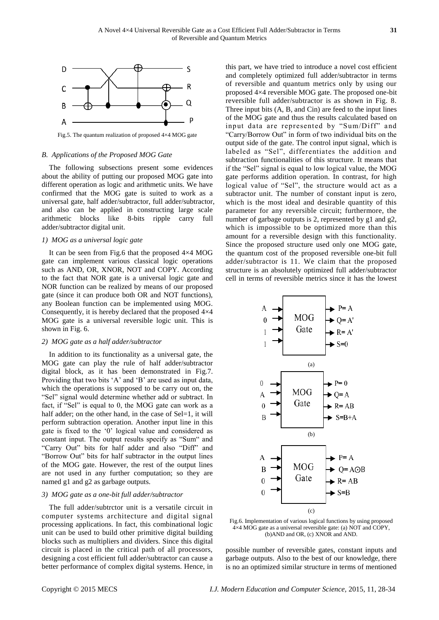

Fig.5. The quantum realization of proposed 4×4 MOG gate

#### *B. Applications of the Proposed MOG Gate*

The following subsections present some evidences about the ability of putting our proposed MOG gate into different operation as logic and arithmetic units. We have confirmed that the MOG gate is suited to work as a universal gate, half adder/subtractor, full adder/subtractor, and also can be applied in constructing large scale arithmetic blocks like 8-bits ripple carry full adder/subtractor digital unit.

#### *1) MOG as a universal logic gate*

It can be seen from Fig.6 that the proposed 4×4 MOG gate can implement various classical logic operations such as AND, OR, XNOR, NOT and COPY. According to the fact that NOR gate is a universal logic gate and NOR function can be realized by means of our proposed gate (since it can produce both OR and NOT functions), any Boolean function can be implemented using MOG. Consequently, it is hereby declared that the proposed  $4\times4$ MOG gate is a universal reversible logic unit. This is shown in Fig. 6.

#### *2) MOG gate as a half adder/subtractor*

In addition to its functionality as a universal gate, the MOG gate can play the rule of half adder/subtractor digital block, as it has been demonstrated in Fig.7. Providing that two bits 'A' and 'B' are used as input data, which the operations is supposed to be carry out on, the "Sel" signal would determine whether add or subtract. In fact, if "Sel" is equal to 0, the MOG gate can work as a half adder; on the other hand, in the case of Sel=1, it will perform subtraction operation. Another input line in this gate is fixed to the '0' logical value and considered as constant input. The output results specify as "Sum" and "Carry Out" bits for half adder and also "Diff" and "Borrow Out" bits for half subtractor in the output lines of the MOG gate. However, the rest of the output lines are not used in any further computation; so they are named g1 and g2 as garbage outputs.

#### *3) MOG gate as a one-bit full adder/subtractor*

The full adder/subtrctor unit is a versatile circuit in computer systems architecture and digital signal processing applications. In fact, this combinational logic unit can be used to build other primitive digital building blocks such as multipliers and dividers. Since this digital circuit is placed in the critical path of all processors, designing a cost efficient full adder/subtractor can cause a better performance of complex digital systems. Hence, in this part, we have tried to introduce a novel cost efficient and completely optimized full adder/subtractor in terms of reversible and quantum metrics only by using our proposed 4×4 reversible MOG gate. The proposed one-bit reversible full adder/subtractor is as shown in Fig. 8. Three input bits (A, B, and Cin) are feed to the input lines of the MOG gate and thus the results calculated based on input data are represented by "Sum/Diff" and "Carry/Borrow Out" in form of two individual bits on the output side of the gate. The control input signal, which is labeled as "Sel", differentiates the addition and subtraction functionalities of this structure. It means that if the "Sel" signal is equal to low logical value, the MOG gate performs addition operation. In contrast, for high logical value of "Sel", the structure would act as a subtractor unit. The number of constant input is zero, which is the most ideal and desirable quantity of this parameter for any reversible circuit; furthermore, the number of garbage outputs is 2, represented by g1 and g2, which is impossible to be optimized more than this amount for a reversible design with this functionality. Since the proposed structure used only one MOG gate, the quantum cost of the proposed reversible one-bit full adder/subtractor is 11. We claim that the proposed structure is an absolutely optimized full adder/subtractor cell in terms of reversible metrics since it has the lowest



Fig.6. Implementation of various logical functions by using proposed 4×4 MOG gate as a universal reversible gate: (a) NOT and COPY, (b)AND and OR, (c) XNOR and AND.

possible number of reversible gates, constant inputs and garbage outputs. Also to the best of our knowledge, there is no an optimized similar structure in terms of mentioned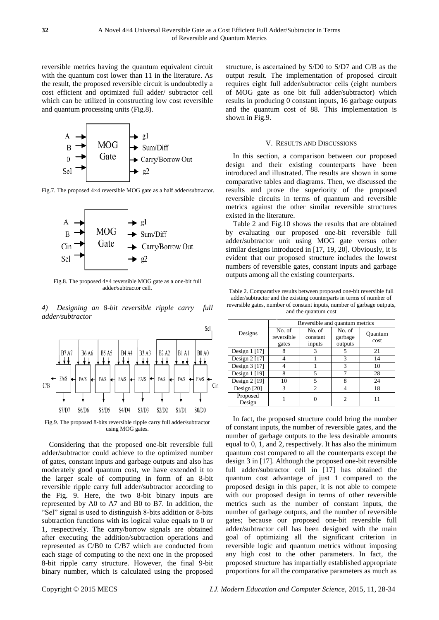reversible metrics having the quantum equivalent circuit with the quantum cost lower than 11 in the literature. As the result, the proposed reversible circuit is undoubtedly a cost efficient and optimized full adder/ subtractor cell which can be utilized in constructing low cost reversible and quantum processing units (Fig.8).



Fig.7. The proposed 4×4 reversible MOG gate as a half adder/subtractor.



Fig.8. The proposed 4×4 reversible MOG gate as a one-bit full adder/subtractor cell.

*4) Designing an 8-bit reversible ripple carry full adder/subtractor* 



Fig.9. The proposed 8-bits reversible ripple carry full adder/subtractor using MOG gates.

Considering that the proposed one-bit reversible full adder/subtractor could achieve to the optimized number of gates, constant inputs and garbage outputs and also has moderately good quantum cost, we have extended it to the larger scale of computing in form of an 8-bit reversible ripple carry full adder/subtractor according to the Fig. 9. Here, the two 8-bit binary inputs are represented by A0 to A7 and B0 to B7. In addition, the "Sel" signal is used to distinguish 8-bits addition or 8-bits subtraction functions with its logical value equals to 0 or 1, respectively. The carry/borrow signals are obtained after executing the addition/subtraction operations and represented as C/B0 to C/B7 which are conducted from each stage of computing to the next one in the proposed 8-bit ripple carry structure. However, the final 9-bit binary number, which is calculated using the proposed

structure, is ascertained by S/D0 to S/D7 and C/B as the output result. The implementation of proposed circuit requires eight full adder/subtractor cells (eight numbers of MOG gate as one bit full adder/subtractor) which results in producing 0 constant inputs, 16 garbage outputs and the quantum cost of 88. This implementation is shown in Fig.9.

#### V. RESULTS AND DISCUSSIONS

In this section, a comparison between our proposed design and their existing counterparts have been introduced and illustrated. The results are shown in some comparative tables and diagrams. Then, we discussed the results and prove the superiority of the proposed reversible circuits in terms of quantum and reversible metrics against the other similar reversible structures existed in the literature.

Table 2 and Fig.10 shows the results that are obtained by evaluating our proposed one-bit reversible full adder/subtractor unit using MOG gate versus other similar designs introduced in [17, 19, 20]. Obviously, it is evident that our proposed structure includes the lowest numbers of reversible gates, constant inputs and garbage outputs among all the existing counterparts.

Table 2. Comparative results between proposed one-bit reversible full adder/subtractor and the existing counterparts in terms of number of reversible gates, number of constant inputs, number of garbage outputs, and the quantum cost

|                    | Reversible and quantum metrics |                              |                              |                 |  |  |
|--------------------|--------------------------------|------------------------------|------------------------------|-----------------|--|--|
| Designs            | No. of<br>reversible<br>gates  | No. of<br>constant<br>inputs | No. of<br>garbage<br>outputs | Ouantum<br>cost |  |  |
| Design $1$ [17]    |                                | 3                            | 5                            | 21              |  |  |
| Design $2$ [17]    |                                |                              | 3                            | 14              |  |  |
| Design $3$ [17]    |                                |                              | 3                            | 10              |  |  |
| Design $1$ [19]    | 8                              | 5                            |                              | 28              |  |  |
| Design $2$ [19]    | 10                             | 5                            | 8                            | 24              |  |  |
| Design [20]        | 3                              | $\mathcal{D}$                |                              | 18              |  |  |
| Proposed<br>Design |                                |                              | 2                            |                 |  |  |

In fact, the proposed structure could bring the number of constant inputs, the number of reversible gates, and the number of garbage outputs to the less desirable amounts equal to 0, 1, and 2, respectively. It has also the minimum quantum cost compared to all the counterparts except the design 3 in [17]. Although the proposed one-bit reversible full adder/subtractor cell in [17] has obtained the quantum cost advantage of just 1 compared to the proposed design in this paper, it is not able to compete with our proposed design in terms of other reversible metrics such as the number of constant inputs, the number of garbage outputs, and the number of reversible gates; because our proposed one-bit reversible full adder/subtractor cell has been designed with the main goal of optimizing all the significant criterion in reversible logic and quantum metrics without imposing any high cost to the other parameters. In fact, the proposed structure has impartially established appropriate proportions for all the comparative parameters as much as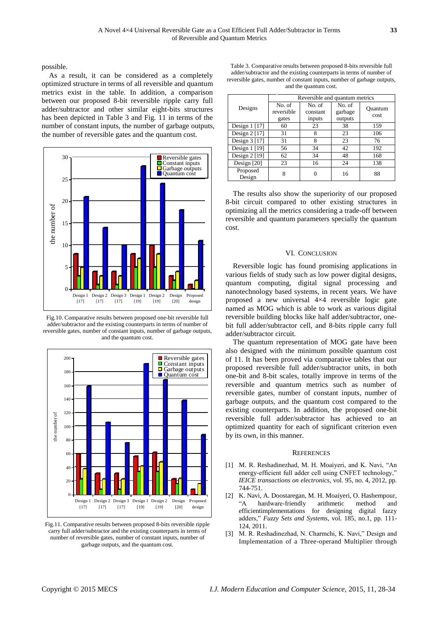possible.

As a result, it can be considered as a completely optimized structure in terms of all reversible and quantum metrics exist in the table. In addition, a comparison between our proposed 8-bit reversible ripple carry full adder/subtractor and other similar eight-bits structures has been depicted in Table 3 and Fig. 11 in terms of the number of constant inputs, the number of garbage outputs, the number of reversible gates and the quantum cost.



Fig.10. Comparative results between proposed one-bit reversible full adder/subtractor and the existing counterparts in terms of number of reversible gates, number of constant inputs, number of garbage outputs, and the quantum cost.



Fig.11. Comparative results between proposed 8-bits reversible ripple carry full adder/subtractor and the existing counterparts in terms of number of reversible gates, number of constant inputs, number of garbage outputs, and the quantum cost.

Table 3. Comparative results between proposed 8-bits reversible full adder/subtractor and the existing counterparts in terms of number of reversible gates, number of constant inputs, number of garbage outputs, and the quantum cost.

|                    | Reversible and quantum metrics |                              |                              |                 |  |  |
|--------------------|--------------------------------|------------------------------|------------------------------|-----------------|--|--|
| Designs            | No. of<br>reversible<br>gates  | No. of<br>constant<br>inputs | No. of<br>garbage<br>outputs | Ouantum<br>cost |  |  |
| Design 1 [17]      | 60                             | 23                           | 38                           | 159             |  |  |
| Design $2$ [17]    | 31                             | 8                            | 23                           | 106             |  |  |
| Design $3$ [17]    | 31                             | 8                            | 23                           | 76              |  |  |
| Design $1$ [19]    | 56                             | 34                           | 42                           | 192             |  |  |
| Design $2$ [19]    | 62                             | 34                           | 48                           | 168             |  |  |
| Design $[20]$      | 23                             | 16                           | 24                           | 138             |  |  |
| Proposed<br>Design | 8                              |                              | 16                           | 88              |  |  |

The results also show the superiority of our proposed 8-bit circuit compared to other existing structures in optimizing all the metrics considering a trade-off between reversible and quantum parameters specially the quantum cost.

#### VI. CONCLUSION

Reversible logic has found promising applications in various fields of study such as low power digital designs, quantum computing, digital signal processing and nanotechnology based systems, in recent years. We have proposed a new universal 4×4 reversible logic gate named as MOG which is able to work as various digital reversible building blocks like half adder/subtractor, onebit full adder/subtractor cell, and 8-bits ripple carry full adder/subtractor circuit.

The quantum representation of MOG gate have been also designed with the minimum possible quantum cost of 11. It has been proved via comparative tables that our proposed reversible full adder/subtractor units, in both one-bit and 8-bit scales, totally improve in terms of the reversible and quantum metrics such as number of reversible gates, number of constant inputs, number of garbage outputs, and the quantum cost compared to the existing counterparts. In addition, the proposed one-bit reversible full adder/subtractor has achieved to an optimized quantity for each of significant criterion even by its own, in this manner.

#### **REFERENCES**

- [1] M. R. Reshadinezhad, M. H. Moaiyeri, and K. Navi, "An energy-efficient full adder cell using CNFET technology," *IEICE transactions on electronics*, vol. 95, no. 4, 2012, pp. 744-751.
- [2] K. Navi, A. Doostaregan, M. H. Moaiyeri, O. Hashempour, "A hardware-friendly arithmetic method and efficientimplementations for designing digital fazzy adders," *Fuzzy Sets and Systems*, vol. 185, no.1, pp. 111- 124, 2011.
- [3] M. R. Reshadinezhad, N. Charmchi, K. Navi," Design and Implementation of a Three-operand Multiplier through